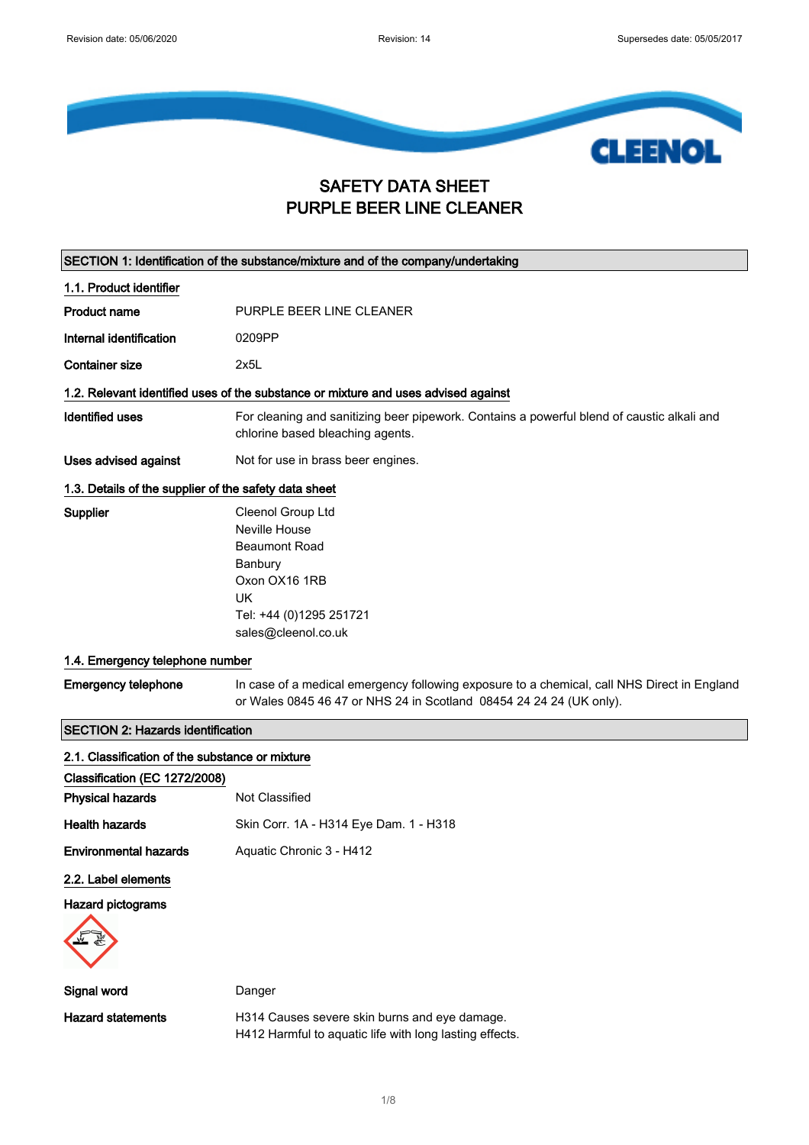

### SAFETY DATA SHEET PURPLE BEER LINE CLEANER

| SECTION 1: Identification of the substance/mixture and of the company/undertaking |                                                                                                                                                                    |  |
|-----------------------------------------------------------------------------------|--------------------------------------------------------------------------------------------------------------------------------------------------------------------|--|
| 1.1. Product identifier                                                           |                                                                                                                                                                    |  |
| <b>Product name</b>                                                               | PURPLE BEER LINE CLEANER                                                                                                                                           |  |
| Internal identification                                                           | 0209PP                                                                                                                                                             |  |
| <b>Container size</b>                                                             | 2x5L                                                                                                                                                               |  |
|                                                                                   | 1.2. Relevant identified uses of the substance or mixture and uses advised against                                                                                 |  |
| <b>Identified uses</b>                                                            | For cleaning and sanitizing beer pipework. Contains a powerful blend of caustic alkali and<br>chlorine based bleaching agents.                                     |  |
| Uses advised against                                                              | Not for use in brass beer engines.                                                                                                                                 |  |
| 1.3. Details of the supplier of the safety data sheet                             |                                                                                                                                                                    |  |
| Supplier                                                                          | Cleenol Group Ltd<br>Neville House<br><b>Beaumont Road</b><br>Banbury<br>Oxon OX16 1RB<br>UK<br>Tel: +44 (0)1295 251721<br>sales@cleenol.co.uk                     |  |
| 1.4. Emergency telephone number                                                   |                                                                                                                                                                    |  |
| <b>Emergency telephone</b>                                                        | In case of a medical emergency following exposure to a chemical, call NHS Direct in England<br>or Wales 0845 46 47 or NHS 24 in Scotland 08454 24 24 24 (UK only). |  |
| <b>SECTION 2: Hazards identification</b>                                          |                                                                                                                                                                    |  |
| 2.1. Classification of the substance or mixture                                   |                                                                                                                                                                    |  |
| Classification (EC 1272/2008)                                                     |                                                                                                                                                                    |  |
| <b>Physical hazards</b>                                                           | Not Classified                                                                                                                                                     |  |
| <b>Health hazards</b>                                                             | Skin Corr. 1A - H314 Eye Dam. 1 - H318                                                                                                                             |  |
| <b>Environmental hazards</b>                                                      | Aquatic Chronic 3 - H412                                                                                                                                           |  |
| 2.2. Label elements                                                               |                                                                                                                                                                    |  |
| Hazard pictograms                                                                 |                                                                                                                                                                    |  |
|                                                                                   |                                                                                                                                                                    |  |
| Signal word                                                                       | Danger                                                                                                                                                             |  |
| <b>Hazard statements</b>                                                          | H314 Causes severe skin burns and eye damage.<br>H412 Harmful to aquatic life with long lasting effects.                                                           |  |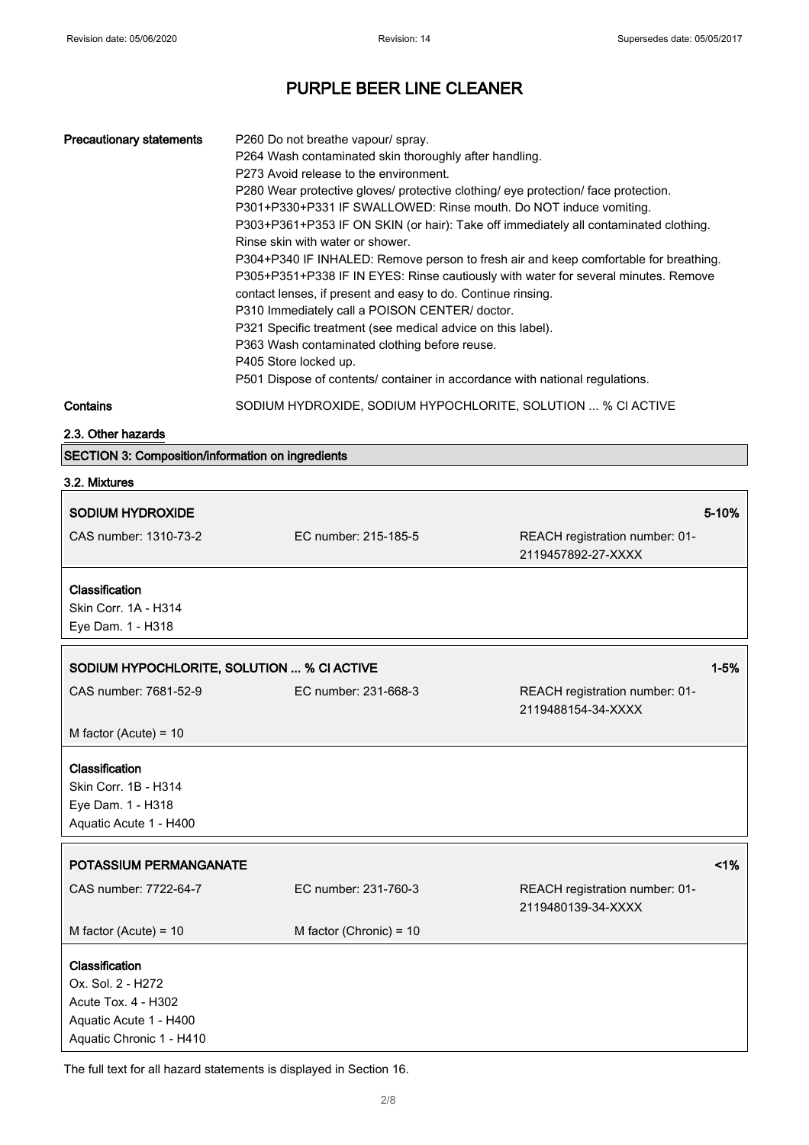| <b>Precautionary statements</b> | P260 Do not breathe vapour/ spray.                                                   |
|---------------------------------|--------------------------------------------------------------------------------------|
|                                 | P264 Wash contaminated skin thoroughly after handling.                               |
|                                 | P273 Avoid release to the environment.                                               |
|                                 | P280 Wear protective gloves/ protective clothing/ eye protection/ face protection.   |
|                                 | P301+P330+P331 IF SWALLOWED: Rinse mouth. Do NOT induce vomiting.                    |
|                                 | P303+P361+P353 IF ON SKIN (or hair): Take off immediately all contaminated clothing. |
|                                 | Rinse skin with water or shower.                                                     |
|                                 | P304+P340 IF INHALED: Remove person to fresh air and keep comfortable for breathing. |
|                                 | P305+P351+P338 IF IN EYES: Rinse cautiously with water for several minutes. Remove   |
|                                 | contact lenses, if present and easy to do. Continue rinsing.                         |
|                                 | P310 Immediately call a POISON CENTER/ doctor.                                       |
|                                 | P321 Specific treatment (see medical advice on this label).                          |
|                                 | P363 Wash contaminated clothing before reuse.                                        |
|                                 | P405 Store locked up.                                                                |
|                                 | P501 Dispose of contents/ container in accordance with national regulations.         |
| $C$ ontoino                     | CODILIM HYDDOVIDE CODILIM HYDOCHI ODITE COLLITIONI<br>$0/$ $C1$ $A$ $C$ $T1$ $C$     |

**Contains SODIUM HYDROXIDE, SODIUM HYPOCHLORITE, SOLUTION ... % CI ACTIVE** 

2.3. Other hazards

SECTION 3: Composition/information on ingredients

#### 3.2. Mixtures

| <b>SODIUM HYDROXIDE</b>                                                                                          |                           |                                                      | $5 - 10%$ |
|------------------------------------------------------------------------------------------------------------------|---------------------------|------------------------------------------------------|-----------|
| CAS number: 1310-73-2                                                                                            | EC number: 215-185-5      | REACH registration number: 01-<br>2119457892-27-XXXX |           |
| Classification<br>Skin Corr. 1A - H314<br>Eye Dam. 1 - H318                                                      |                           |                                                      |           |
| SODIUM HYPOCHLORITE, SOLUTION  % CI ACTIVE                                                                       |                           |                                                      | $1 - 5%$  |
| CAS number: 7681-52-9                                                                                            | EC number: 231-668-3      | REACH registration number: 01-<br>2119488154-34-XXXX |           |
| M factor (Acute) = $10$                                                                                          |                           |                                                      |           |
| Classification<br>Skin Corr. 1B - H314<br>Eye Dam. 1 - H318<br>Aquatic Acute 1 - H400                            |                           |                                                      |           |
| POTASSIUM PERMANGANATE                                                                                           |                           |                                                      | 1%        |
| CAS number: 7722-64-7                                                                                            | EC number: 231-760-3      | REACH registration number: 01-<br>2119480139-34-XXXX |           |
| M factor (Acute) = $10$                                                                                          | M factor (Chronic) = $10$ |                                                      |           |
| Classification<br>Ox. Sol. 2 - H272<br>Acute Tox. 4 - H302<br>Aquatic Acute 1 - H400<br>Aquatic Chronic 1 - H410 |                           |                                                      |           |

The full text for all hazard statements is displayed in Section 16.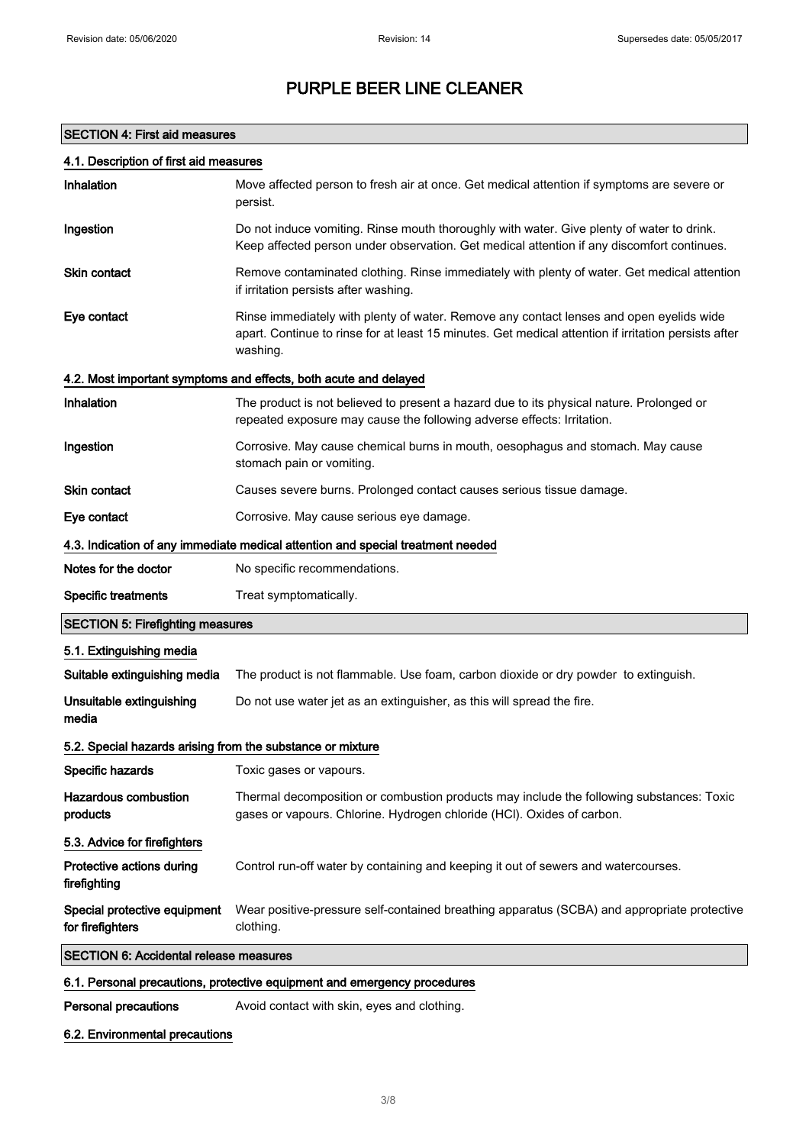#### SECTION 4: First aid measures

| 4.1. Description of first aid measures                     |                                                                                                                                                                                                             |  |
|------------------------------------------------------------|-------------------------------------------------------------------------------------------------------------------------------------------------------------------------------------------------------------|--|
| Inhalation                                                 | Move affected person to fresh air at once. Get medical attention if symptoms are severe or<br>persist.                                                                                                      |  |
| Ingestion                                                  | Do not induce vomiting. Rinse mouth thoroughly with water. Give plenty of water to drink.<br>Keep affected person under observation. Get medical attention if any discomfort continues.                     |  |
| <b>Skin contact</b>                                        | Remove contaminated clothing. Rinse immediately with plenty of water. Get medical attention<br>if irritation persists after washing.                                                                        |  |
| Eye contact                                                | Rinse immediately with plenty of water. Remove any contact lenses and open eyelids wide<br>apart. Continue to rinse for at least 15 minutes. Get medical attention if irritation persists after<br>washing. |  |
|                                                            | 4.2. Most important symptoms and effects, both acute and delayed                                                                                                                                            |  |
| Inhalation                                                 | The product is not believed to present a hazard due to its physical nature. Prolonged or<br>repeated exposure may cause the following adverse effects: Irritation.                                          |  |
| Ingestion                                                  | Corrosive. May cause chemical burns in mouth, oesophagus and stomach. May cause<br>stomach pain or vomiting.                                                                                                |  |
| <b>Skin contact</b>                                        | Causes severe burns. Prolonged contact causes serious tissue damage.                                                                                                                                        |  |
| Eye contact                                                | Corrosive. May cause serious eye damage.                                                                                                                                                                    |  |
|                                                            | 4.3. Indication of any immediate medical attention and special treatment needed                                                                                                                             |  |
| Notes for the doctor                                       | No specific recommendations.                                                                                                                                                                                |  |
| <b>Specific treatments</b>                                 | Treat symptomatically.                                                                                                                                                                                      |  |
| <b>SECTION 5: Firefighting measures</b>                    |                                                                                                                                                                                                             |  |
|                                                            |                                                                                                                                                                                                             |  |
| 5.1. Extinguishing media                                   |                                                                                                                                                                                                             |  |
| Suitable extinguishing media                               | The product is not flammable. Use foam, carbon dioxide or dry powder to extinguish.                                                                                                                         |  |
| Unsuitable extinguishing<br>media                          | Do not use water jet as an extinguisher, as this will spread the fire.                                                                                                                                      |  |
| 5.2. Special hazards arising from the substance or mixture |                                                                                                                                                                                                             |  |
| Specific hazards                                           | Toxic gases or vapours.                                                                                                                                                                                     |  |
| <b>Hazardous combustion</b><br>products                    | Thermal decomposition or combustion products may include the following substances: Toxic<br>gases or vapours. Chlorine. Hydrogen chloride (HCl). Oxides of carbon.                                          |  |
| 5.3. Advice for firefighters                               |                                                                                                                                                                                                             |  |
| Protective actions during<br>firefighting                  | Control run-off water by containing and keeping it out of sewers and watercourses.                                                                                                                          |  |
| Special protective equipment<br>for firefighters           | Wear positive-pressure self-contained breathing apparatus (SCBA) and appropriate protective<br>clothing.                                                                                                    |  |
| <b>SECTION 6: Accidental release measures</b>              |                                                                                                                                                                                                             |  |
|                                                            | 6.1. Personal precautions, protective equipment and emergency procedures                                                                                                                                    |  |

### 6.2. Environmental precautions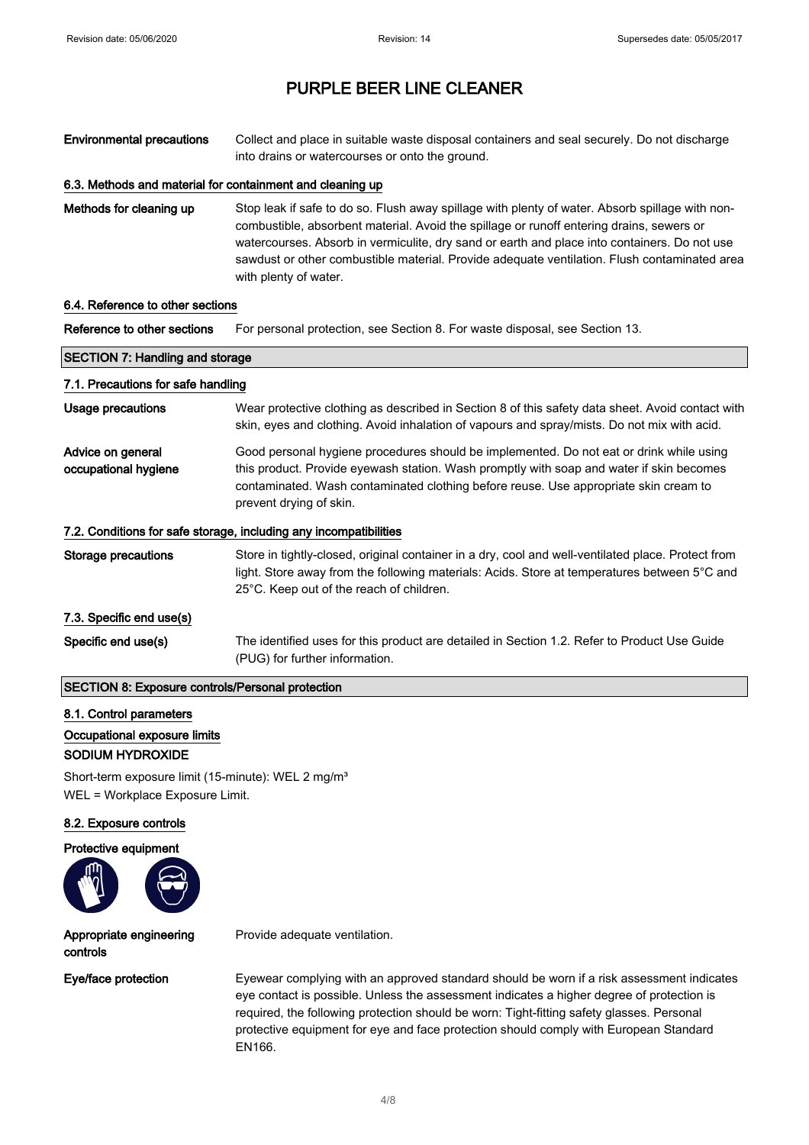Environmental precautions Collect and place in suitable waste disposal containers and seal securely. Do not discharge into drains or watercourses or onto the ground.

#### 6.3. Methods and material for containment and cleaning up

Methods for cleaning up Stop leak if safe to do so. Flush away spillage with plenty of water. Absorb spillage with noncombustible, absorbent material. Avoid the spillage or runoff entering drains, sewers or watercourses. Absorb in vermiculite, dry sand or earth and place into containers. Do not use sawdust or other combustible material. Provide adequate ventilation. Flush contaminated area with plenty of water.

#### 6.4. Reference to other sections

 $\Gamma$ 

Reference to other sections For personal protection, see Section 8. For waste disposal, see Section 13.

| <b>SECTION 7: Handling and storage</b>                  |                                                                                                                                                                                                                                                                                                        |
|---------------------------------------------------------|--------------------------------------------------------------------------------------------------------------------------------------------------------------------------------------------------------------------------------------------------------------------------------------------------------|
| 7.1. Precautions for safe handling                      |                                                                                                                                                                                                                                                                                                        |
| Usage precautions                                       | Wear protective clothing as described in Section 8 of this safety data sheet. Avoid contact with<br>skin, eyes and clothing. Avoid inhalation of vapours and spray/mists. Do not mix with acid.                                                                                                        |
| Advice on general<br>occupational hygiene               | Good personal hygiene procedures should be implemented. Do not eat or drink while using<br>this product. Provide eyewash station. Wash promptly with soap and water if skin becomes<br>contaminated. Wash contaminated clothing before reuse. Use appropriate skin cream to<br>prevent drying of skin. |
|                                                         | 7.2. Conditions for safe storage, including any incompatibilities                                                                                                                                                                                                                                      |
| Storage precautions                                     | Store in tightly-closed, original container in a dry, cool and well-ventilated place. Protect from<br>light. Store away from the following materials: Acids. Store at temperatures between 5°C and<br>25°C. Keep out of the reach of children.                                                         |
| 7.3. Specific end use(s)                                |                                                                                                                                                                                                                                                                                                        |
| Specific end use(s)                                     | The identified uses for this product are detailed in Section 1.2. Refer to Product Use Guide<br>(PUG) for further information.                                                                                                                                                                         |
| <b>SECTION 8: Exposure controls/Personal protection</b> |                                                                                                                                                                                                                                                                                                        |

#### 8.1. Control parameters

#### Occupational exposure limits

#### SODIUM HYDROXIDE

Short-term exposure limit (15-minute): WEL 2 mg/m<sup>3</sup> WEL = Workplace Exposure Limit.

#### 8.2. Exposure controls

#### Protective equipment



#### Appropriate engineering controls

Eye/face protection Eyewear complying with an approved standard should be worn if a risk assessment indicates eye contact is possible. Unless the assessment indicates a higher degree of protection is required, the following protection should be worn: Tight-fitting safety glasses. Personal protective equipment for eye and face protection should comply with European Standard EN166.

Provide adequate ventilation.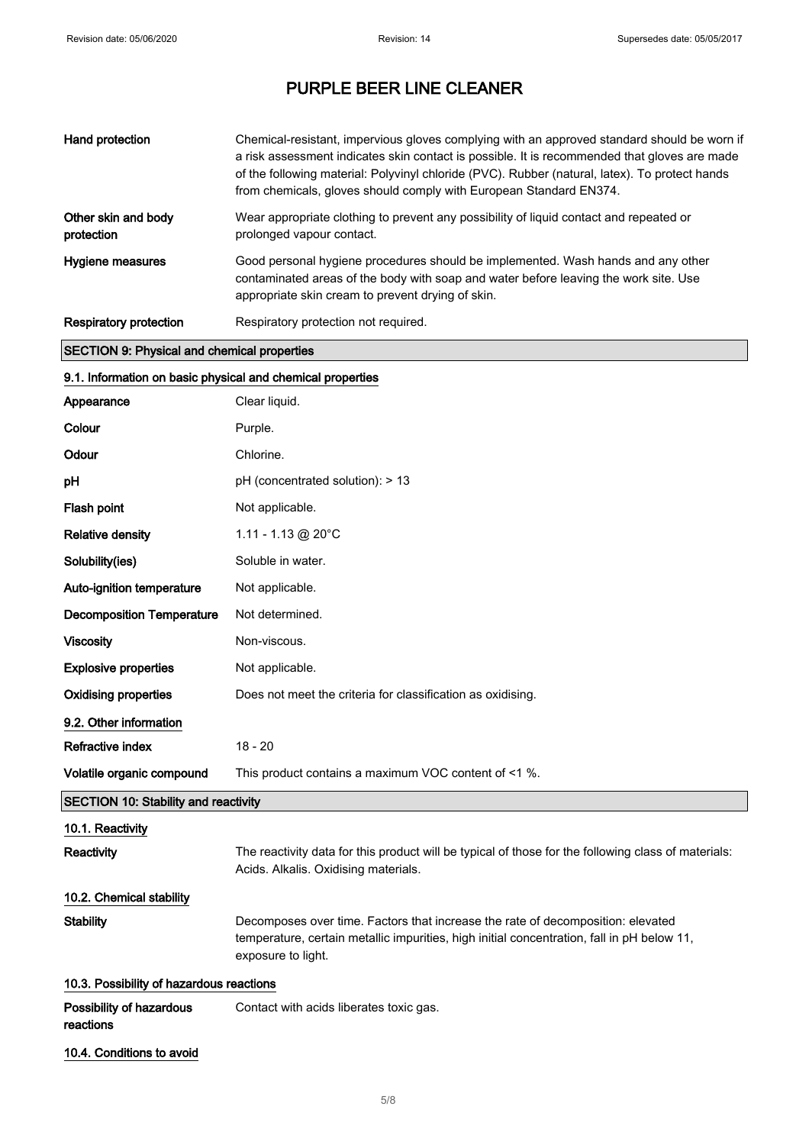| Hand protection                                    | Chemical-resistant, impervious gloves complying with an approved standard should be worn if<br>a risk assessment indicates skin contact is possible. It is recommended that gloves are made<br>of the following material: Polyvinyl chloride (PVC). Rubber (natural, latex). To protect hands<br>from chemicals, gloves should comply with European Standard EN374. |
|----------------------------------------------------|---------------------------------------------------------------------------------------------------------------------------------------------------------------------------------------------------------------------------------------------------------------------------------------------------------------------------------------------------------------------|
| Other skin and body<br>protection                  | Wear appropriate clothing to prevent any possibility of liquid contact and repeated or<br>prolonged vapour contact.                                                                                                                                                                                                                                                 |
| Hygiene measures                                   | Good personal hygiene procedures should be implemented. Wash hands and any other<br>contaminated areas of the body with soap and water before leaving the work site. Use<br>appropriate skin cream to prevent drying of skin.                                                                                                                                       |
| <b>Respiratory protection</b>                      | Respiratory protection not required.                                                                                                                                                                                                                                                                                                                                |
| <b>SECTION 9: Physical and chemical properties</b> |                                                                                                                                                                                                                                                                                                                                                                     |

# 9.1. Information on basic physical and chemical properties

| Appearance                                  | Clear liquid.                                                                                                                                                                                       |
|---------------------------------------------|-----------------------------------------------------------------------------------------------------------------------------------------------------------------------------------------------------|
| Colour                                      | Purple.                                                                                                                                                                                             |
| Odour                                       | Chlorine.                                                                                                                                                                                           |
| pH                                          | pH (concentrated solution): > 13                                                                                                                                                                    |
| Flash point                                 | Not applicable.                                                                                                                                                                                     |
| <b>Relative density</b>                     | 1.11 - 1.13 @ 20°C                                                                                                                                                                                  |
| Solubility(ies)                             | Soluble in water.                                                                                                                                                                                   |
| Auto-ignition temperature                   | Not applicable.                                                                                                                                                                                     |
| <b>Decomposition Temperature</b>            | Not determined.                                                                                                                                                                                     |
| Viscosity                                   | Non-viscous.                                                                                                                                                                                        |
| <b>Explosive properties</b>                 | Not applicable.                                                                                                                                                                                     |
| <b>Oxidising properties</b>                 | Does not meet the criteria for classification as oxidising.                                                                                                                                         |
| 9.2. Other information                      |                                                                                                                                                                                                     |
| Refractive index                            | $18 - 20$                                                                                                                                                                                           |
| Volatile organic compound                   | This product contains a maximum VOC content of <1 %.                                                                                                                                                |
| <b>SECTION 10: Stability and reactivity</b> |                                                                                                                                                                                                     |
| 10.1. Reactivity                            |                                                                                                                                                                                                     |
| Reactivity                                  | The reactivity data for this product will be typical of those for the following class of materials:<br>Acids. Alkalis. Oxidising materials.                                                         |
| 10.2. Chemical stability                    |                                                                                                                                                                                                     |
| <b>Stability</b>                            | Decomposes over time. Factors that increase the rate of decomposition: elevated<br>temperature, certain metallic impurities, high initial concentration, fall in pH below 11,<br>exposure to light. |
| 10.3. Possibility of hazardous reactions    |                                                                                                                                                                                                     |
| Possibility of hazardous<br>reactions       | Contact with acids liberates toxic gas.                                                                                                                                                             |
| 10.4. Conditions to avoid                   |                                                                                                                                                                                                     |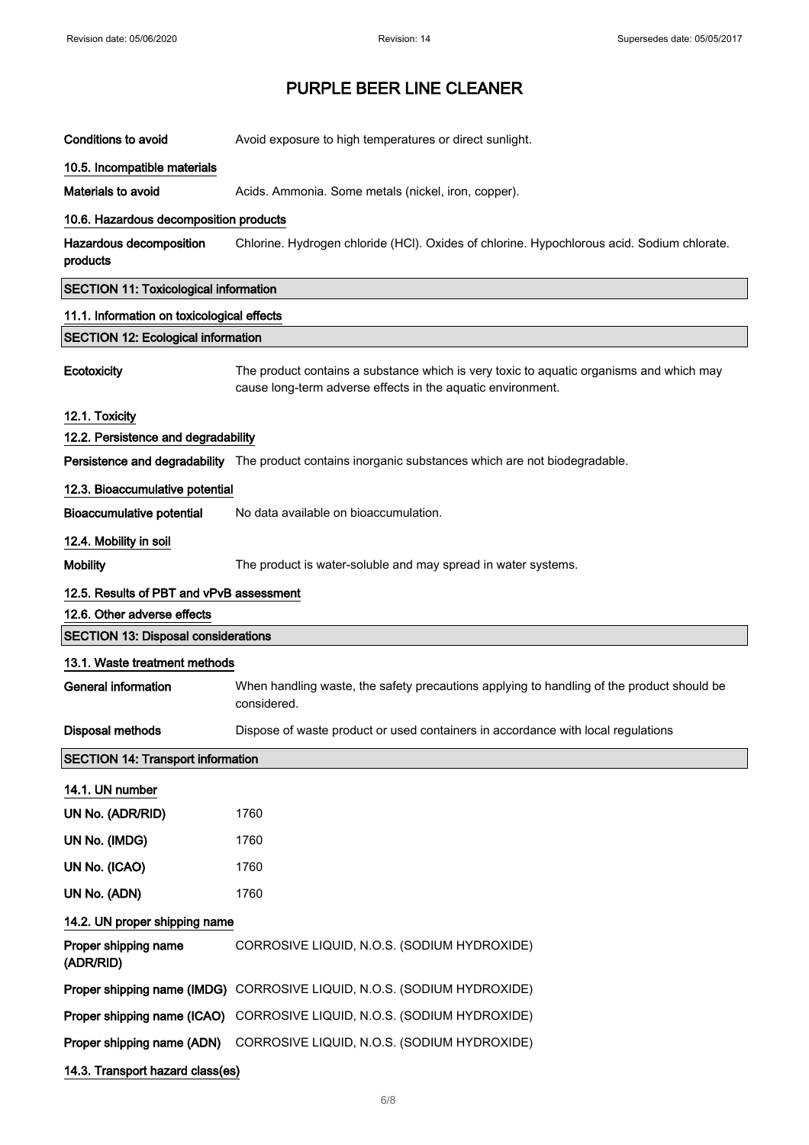| <b>Conditions to avoid</b>                   | Avoid exposure to high temperatures or direct sunlight.                                                                                                |
|----------------------------------------------|--------------------------------------------------------------------------------------------------------------------------------------------------------|
| 10.5. Incompatible materials                 |                                                                                                                                                        |
| <b>Materials to avoid</b>                    | Acids. Ammonia. Some metals (nickel, iron, copper).                                                                                                    |
| 10.6. Hazardous decomposition products       |                                                                                                                                                        |
| Hazardous decomposition<br>products          | Chlorine. Hydrogen chloride (HCl). Oxides of chlorine. Hypochlorous acid. Sodium chlorate.                                                             |
| <b>SECTION 11: Toxicological information</b> |                                                                                                                                                        |
| 11.1. Information on toxicological effects   |                                                                                                                                                        |
| <b>SECTION 12: Ecological information</b>    |                                                                                                                                                        |
| Ecotoxicity                                  | The product contains a substance which is very toxic to aquatic organisms and which may<br>cause long-term adverse effects in the aquatic environment. |
| 12.1. Toxicity                               |                                                                                                                                                        |
| 12.2. Persistence and degradability          |                                                                                                                                                        |
|                                              | Persistence and degradability The product contains inorganic substances which are not biodegradable.                                                   |
| 12.3. Bioaccumulative potential              |                                                                                                                                                        |
| <b>Bioaccumulative potential</b>             | No data available on bioaccumulation.                                                                                                                  |
| 12.4. Mobility in soil                       |                                                                                                                                                        |
| <b>Mobility</b>                              | The product is water-soluble and may spread in water systems.                                                                                          |
| 12.5. Results of PBT and vPvB assessment     |                                                                                                                                                        |
| 12.6. Other adverse effects                  |                                                                                                                                                        |
| <b>SECTION 13: Disposal considerations</b>   |                                                                                                                                                        |
| 13.1. Waste treatment methods                |                                                                                                                                                        |
| <b>General information</b>                   | When handling waste, the safety precautions applying to handling of the product should be<br>considered.                                               |
| <b>Disposal methods</b>                      | Dispose of waste product or used containers in accordance with local regulations                                                                       |
| <b>SECTION 14: Transport information</b>     |                                                                                                                                                        |
| 14.1. UN number                              |                                                                                                                                                        |
| UN No. (ADR/RID)                             | 1760                                                                                                                                                   |
| UN No. (IMDG)                                | 1760                                                                                                                                                   |
| UN No. (ICAO)                                | 1760                                                                                                                                                   |
| UN No. (ADN)                                 | 1760                                                                                                                                                   |
| 14.2. UN proper shipping name                |                                                                                                                                                        |
| Proper shipping name<br>(ADR/RID)            | CORROSIVE LIQUID, N.O.S. (SODIUM HYDROXIDE)                                                                                                            |
|                                              | Proper shipping name (IMDG) CORROSIVE LIQUID, N.O.S. (SODIUM HYDROXIDE)                                                                                |
|                                              | Proper shipping name (ICAO) CORROSIVE LIQUID, N.O.S. (SODIUM HYDROXIDE)                                                                                |
| Proper shipping name (ADN)                   | CORROSIVE LIQUID, N.O.S. (SODIUM HYDROXIDE)                                                                                                            |
| 14.3. Transport hazard class(es)             |                                                                                                                                                        |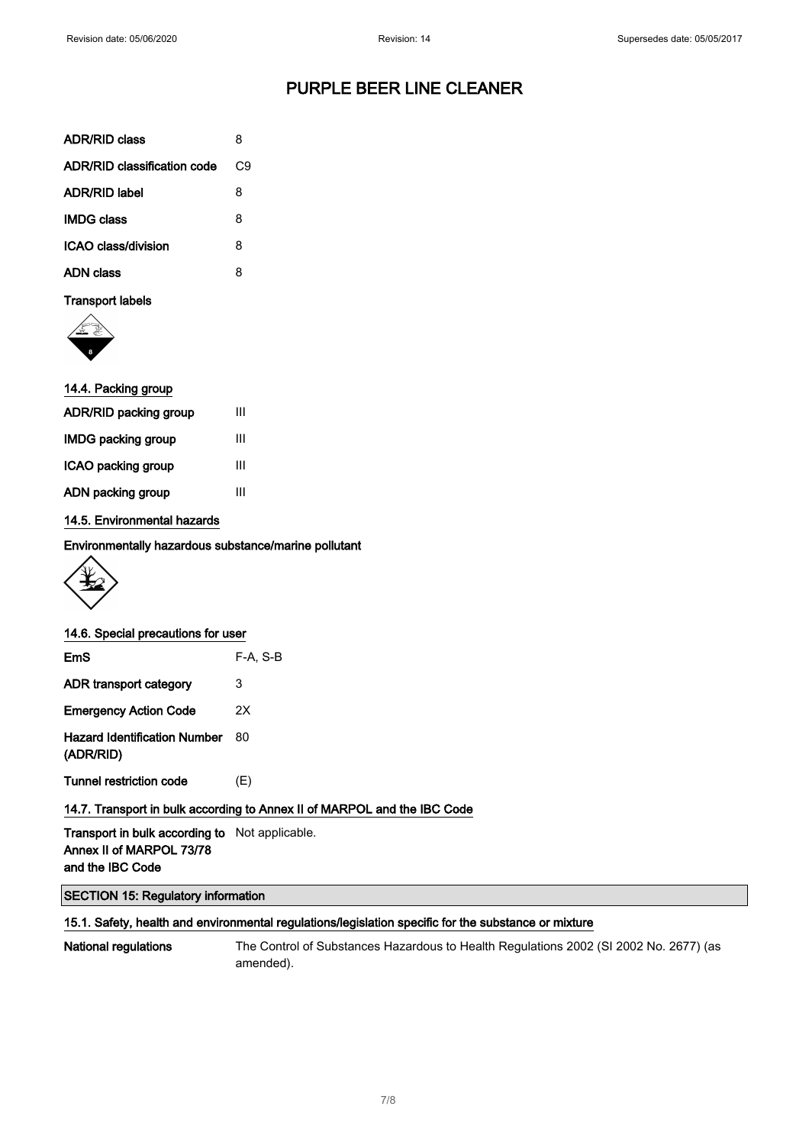| <b>ADR/RID class</b>        | 8  |
|-----------------------------|----|
| ADR/RID classification code | C9 |
| <b>ADR/RID label</b>        | 8  |
| <b>IMDG class</b>           | 8  |
| ICAO class/division         | 8  |
| <b>ADN class</b>            | 8  |
| <b>Transport labels</b>     |    |



#### 14.4. Packing group

| ADR/RID packing group     | Ш |
|---------------------------|---|
| <b>IMDG packing group</b> | Ш |
| ICAO packing group        | Ш |
| ADN packing group         | Ш |
|                           |   |

#### 14.5. Environmental hazards

Environmentally hazardous substance/marine pollutant



| 14.6. Special precautions for user               |            |
|--------------------------------------------------|------------|
| <b>EmS</b>                                       | $F-A. S-B$ |
| ADR transport category                           | 3          |
| <b>Emergency Action Code</b>                     | 2Χ         |
| <b>Hazard Identification Number</b><br>(ADR/RID) | 80         |
| Tunnel restriction code                          | (E)        |

#### 14.7. Transport in bulk according to Annex II of MARPOL and the IBC Code

Transport in bulk according to Not applicable. Annex II of MARPOL 73/78 and the IBC Code

#### SECTION 15: Regulatory information

#### 15.1. Safety, health and environmental regulations/legislation specific for the substance or mixture

National regulations The Control of Substances Hazardous to Health Regulations 2002 (SI 2002 No. 2677) (as amended).